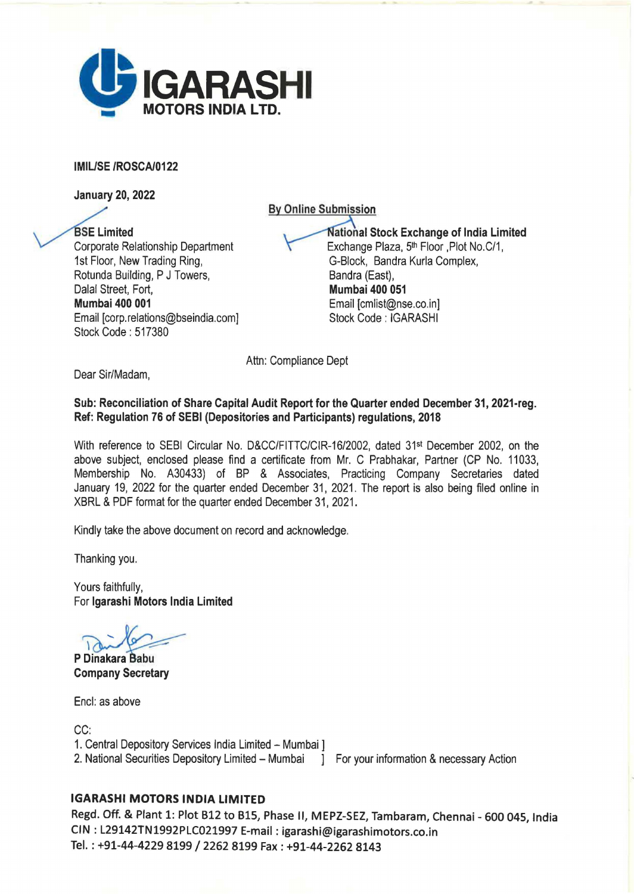

## IMIUSE /ROSCA/0122

January 20, 2022

**By Online Submission** 

**BSE Limited** Corporate Relationship Department 1st Floor, New Trading Ring, Rotunda Building, P J Towers, Dalal Street, Fort, Mumbai 400 001 Email [corp.relations@bseindia.com] Stock Code : 517380

**National Stock Exchange of India Limited** Exchange Plaza, 5<sup>th</sup> Floor , Plot No.C/1, G-Block, Sandra Kurla Complex, Bandra (East), Mumbai 400 051 Email [cmlist@nse.co.in] Stock Code: IGARASHI

Attn: Compliance Dept

Dear Sir/Madam,

## Sub: Reconciliation of Share Capital Audit Report for the Quarter ended December 31, 2021-reg. Ref: Regulation 76 of SEBI (Depositories and Participants) regulations, 2018

With reference to SEBI Circular No. D&CC/FITTC/CIR-16/2002, dated 31<sup>st</sup> December 2002, on the above subject, enclosed please find a certificate from Mr. C Prabhakar, Partner (CP No. 11033, Membership No. A30433) of BP & Associates, Practicing Company Secretaries dated January 19, 2022 for the quarter ended December 31, 2021 . The report is also being filed online in XBRL & PDF format for the quarter ended December 31, 2021.

Kindly take the above document on record and acknowledge.

Thanking you.

Yours faithfully, For lgarashi Motors India Limited

*:::;;.-*

P Dinakara Babu Company Secretary

Encl: as above

CC: 1. Central Depository Services India Limited - Mumbai 1 2. National Securities Depository Limited - Mumbai I For your information & necessary Action

## IGARASHI MOTORS INDIA LIMITED

Regd. Off. & Plant 1: Plot 612 to BlS, Phase II, MEPZ-SEZ, Tambaram, Chennai - 600 045, India CIN : L29142TN1992PLC021997 E-mail: igarashi@igarashimotors.co.in Tel.: +91-44-4229 8199 / 2262 8199 Fax: +91-44-2262 8143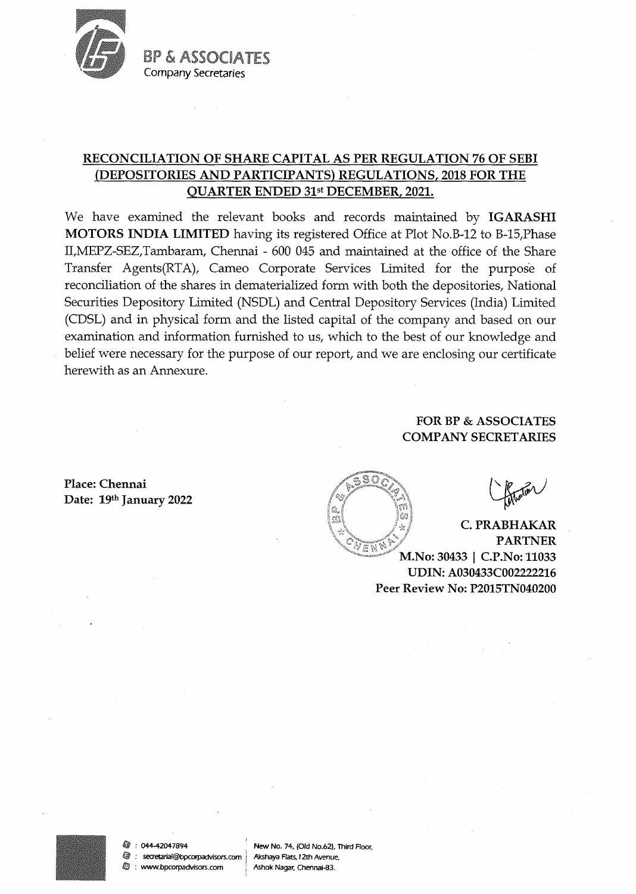

BP & ASSOCIATES Company Secretaries

# **RECONCILIATION OF SHARE CAPITAL AS PER REGULATION 76 OF SEBI (DEPOSITORIES AND PARTICIPANTS) REGULATIONS, 2018 FOR THE QUARTER ENDED** 31st **DECEMBER, 2021.**

We have examined the relevant books and records maintained by **IGARASHI MOTORS INDIA LIMITED** having its registered Office at Plot No.B-12 to B-15,Phase II,MEPZ-SEZ,Tambaram, Chennai - 600 045 and maintained at the office of the Share Transfer Agents(RTA), Cameo Corporate Services Limited for the purpose of reconciliation of the shares in dematerialized form with both the depositories, National Securities Depository Limited (NSDL) and Central Depository Services (India) Limited (CDSL) and in physical form and the listed capital of the company and based on our examination and information furnished to us, which to the best of our knowledge and belief were necessary for the purpose of our report, and we are enclosing our certificate herewith as an Annexure.

## **FOR BP & ASSOCIATES COMP ANY SECRETARIES**

**Place: Chennai Date: 19th January 2022** 

分解器

**C. PRABHAKAR PARTNER** M.No: 30433 | C.P.No: 11033 UDIN: A030433C002222216 Peer Review No: P2015TN040200



: secretarial@bpcorpadvisors.com Akshaya Flats, 12th Avenue, **2** : www.bpcorpadvisors.com Ashok Nagar, Chennai-83.

*l\$J* : 044-42047894 New No. 74, (Old No.62J, Third Floor,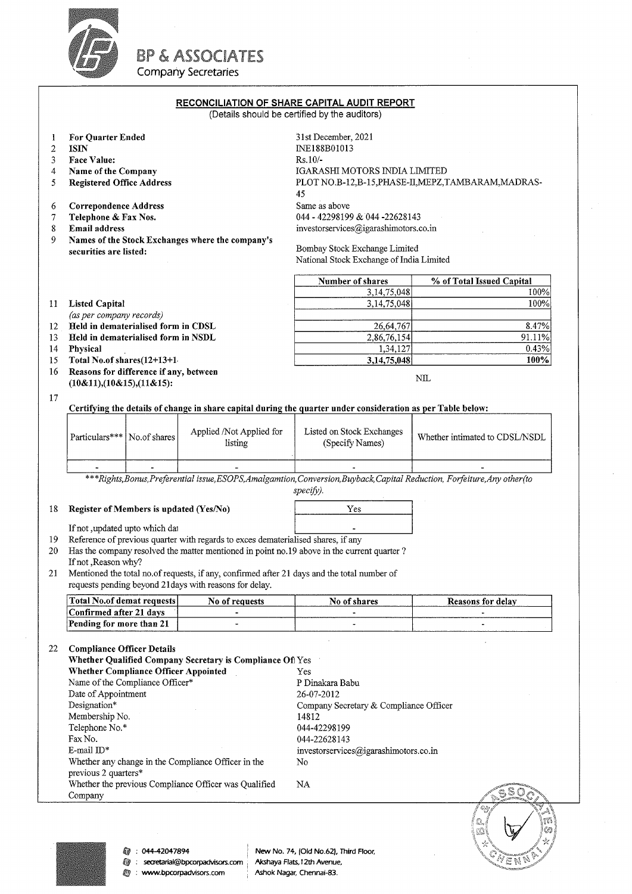

BP & ASSOCIATES

Company Secretaries

### RECONCILIATION OF SHARE CAPITAL AUDIT REPORT

(Details should be certified by the auditors)

| 1<br>$\overline{2}$<br>3<br>4<br>5 | For Quarter Ended<br><b>ISIN</b><br>Face Value:<br>Name of the Company<br><b>Registered Office Address</b>                                                                                                                                                                                                                                                                                                                               |                                                                                                                                          | 31st December, 2021<br>INE188B01013<br>$Rs.10/-$<br>IGARASHI MOTORS INDIA LIMITED<br>PLOT NO.B-12,B-15, PHASE-II, MEPZ, TAMBARAM, MADRAS-<br>45 |                                                                                                                                                                  |                                |  |
|------------------------------------|------------------------------------------------------------------------------------------------------------------------------------------------------------------------------------------------------------------------------------------------------------------------------------------------------------------------------------------------------------------------------------------------------------------------------------------|------------------------------------------------------------------------------------------------------------------------------------------|-------------------------------------------------------------------------------------------------------------------------------------------------|------------------------------------------------------------------------------------------------------------------------------------------------------------------|--------------------------------|--|
| 6<br>7<br>8                        | <b>Correpondence Address</b><br>Telephone & Fax Nos.<br><b>Email address</b>                                                                                                                                                                                                                                                                                                                                                             |                                                                                                                                          |                                                                                                                                                 | Same as above<br>044 - 42298199 & 044 -22628143<br>investorservices@igarashimotors.co.in                                                                         |                                |  |
| 9                                  | Names of the Stock Exchanges where the company's<br>securities are listed:                                                                                                                                                                                                                                                                                                                                                               |                                                                                                                                          |                                                                                                                                                 | Bombay Stock Exchange Limited<br>National Stock Exchange of India Limited                                                                                        |                                |  |
|                                    |                                                                                                                                                                                                                                                                                                                                                                                                                                          |                                                                                                                                          |                                                                                                                                                 | Number of shares                                                                                                                                                 | % of Total Issued Capital      |  |
| 11                                 | <b>Listed Capital</b>                                                                                                                                                                                                                                                                                                                                                                                                                    |                                                                                                                                          |                                                                                                                                                 | 3, 14, 75, 048<br>3,14,75,048                                                                                                                                    | 100%<br>100%                   |  |
|                                    | (as per company records)                                                                                                                                                                                                                                                                                                                                                                                                                 |                                                                                                                                          |                                                                                                                                                 |                                                                                                                                                                  |                                |  |
| 12 <sup>7</sup>                    | Held in dematerialised form in CDSL                                                                                                                                                                                                                                                                                                                                                                                                      |                                                                                                                                          |                                                                                                                                                 | 26,64,767                                                                                                                                                        | 8.47%                          |  |
| 13<br>14                           | Held in dematerialised form in NSDL<br>Physical                                                                                                                                                                                                                                                                                                                                                                                          |                                                                                                                                          |                                                                                                                                                 | 2,86,76,154<br>1,34,127                                                                                                                                          | 91.11%<br>0.43%                |  |
| 15                                 | Total No.of shares(12+13+1                                                                                                                                                                                                                                                                                                                                                                                                               |                                                                                                                                          |                                                                                                                                                 | 3,14,75,048                                                                                                                                                      | 100%                           |  |
| 16                                 | Reasons for difference if any, between<br>$(10&11)$ , $(10&15)$ , $(11&15)$ :                                                                                                                                                                                                                                                                                                                                                            |                                                                                                                                          |                                                                                                                                                 | NIL                                                                                                                                                              |                                |  |
| 17                                 | Certifying the details of change in share capital during the quarter under consideration as per Table below:                                                                                                                                                                                                                                                                                                                             |                                                                                                                                          |                                                                                                                                                 |                                                                                                                                                                  |                                |  |
|                                    | Particulars*** No.of shares                                                                                                                                                                                                                                                                                                                                                                                                              |                                                                                                                                          | Applied /Not Applied for<br>listing                                                                                                             | Listed on Stock Exchanges<br>(Specify Names)                                                                                                                     | Whether intimated to CDSL/NSDL |  |
|                                    |                                                                                                                                                                                                                                                                                                                                                                                                                                          |                                                                                                                                          |                                                                                                                                                 |                                                                                                                                                                  |                                |  |
|                                    |                                                                                                                                                                                                                                                                                                                                                                                                                                          | ***Rights, Bonus, Preferential issue, ESOPS, Amalgamtion, Conversion, Buyback, Capital Reduction, Forfeiture, Any other (to<br>specify). |                                                                                                                                                 |                                                                                                                                                                  |                                |  |
| 18                                 | Register of Members is updated (Yes/No)                                                                                                                                                                                                                                                                                                                                                                                                  |                                                                                                                                          |                                                                                                                                                 | Yes                                                                                                                                                              |                                |  |
|                                    | If not , updated upto which dat                                                                                                                                                                                                                                                                                                                                                                                                          |                                                                                                                                          |                                                                                                                                                 |                                                                                                                                                                  |                                |  |
| 19<br>20                           | Reference of previous quarter with regards to exces dematerialised shares, if any<br>Has the company resolved the matter mentioned in point no.19 above in the current quarter ?<br>If not , Reason why?                                                                                                                                                                                                                                 |                                                                                                                                          |                                                                                                                                                 |                                                                                                                                                                  |                                |  |
| 21                                 | Mentioned the total no.of requests, if any, confirmed after 21 days and the total number of<br>requests pending beyond 21 days with reasons for delay.                                                                                                                                                                                                                                                                                   |                                                                                                                                          |                                                                                                                                                 |                                                                                                                                                                  |                                |  |
|                                    | Total No.of demat requests                                                                                                                                                                                                                                                                                                                                                                                                               |                                                                                                                                          | No of requests                                                                                                                                  | No of shares                                                                                                                                                     | <b>Reasons for delay</b>       |  |
|                                    | Confirmed after 21 days                                                                                                                                                                                                                                                                                                                                                                                                                  |                                                                                                                                          |                                                                                                                                                 |                                                                                                                                                                  |                                |  |
|                                    | Pending for more than 21                                                                                                                                                                                                                                                                                                                                                                                                                 |                                                                                                                                          |                                                                                                                                                 |                                                                                                                                                                  |                                |  |
| 22                                 | <b>Compliance Officer Details</b><br>Whether Qualified Company Secretary is Compliance Of Yes<br><b>Whether Compliance Officer Appointed</b><br>Name of the Compliance Officer*<br>Date of Appointment<br>Designation*<br>Membership No.<br>Telephone No.*<br>Fax No.<br>E-mail $ID*$<br>Whether any change in the Compliance Officer in the<br>previous 2 quarters*<br>Whether the previous Compliance Officer was Qualified<br>Company |                                                                                                                                          |                                                                                                                                                 | Yes<br>P Dinakara Babu<br>26-07-2012<br>Company Secretary & Compliance Officer<br>14812<br>044-42298199<br>044-22628143<br>investorservices@igarashimotors.co.in |                                |  |
|                                    |                                                                                                                                                                                                                                                                                                                                                                                                                                          |                                                                                                                                          |                                                                                                                                                 | No                                                                                                                                                               |                                |  |
|                                    |                                                                                                                                                                                                                                                                                                                                                                                                                                          |                                                                                                                                          |                                                                                                                                                 | NA                                                                                                                                                               | 68 O                           |  |



**@** : secretarial@bpcorpadvisors.com Akshaya Flats, 12th Avenue,<br> **@** : www.bpcorpadvisors.com Ashok Nagar, Chennai-83.  $\textcircled{y}$  : www.bpcorpadvisors.com

0 : 044-42047894 New No. 74, (Old No.62), Third Floor,<br>1 : secretarial@bpcorpadvisors.com Akshaya Flats, 12th Avenue,

VENT